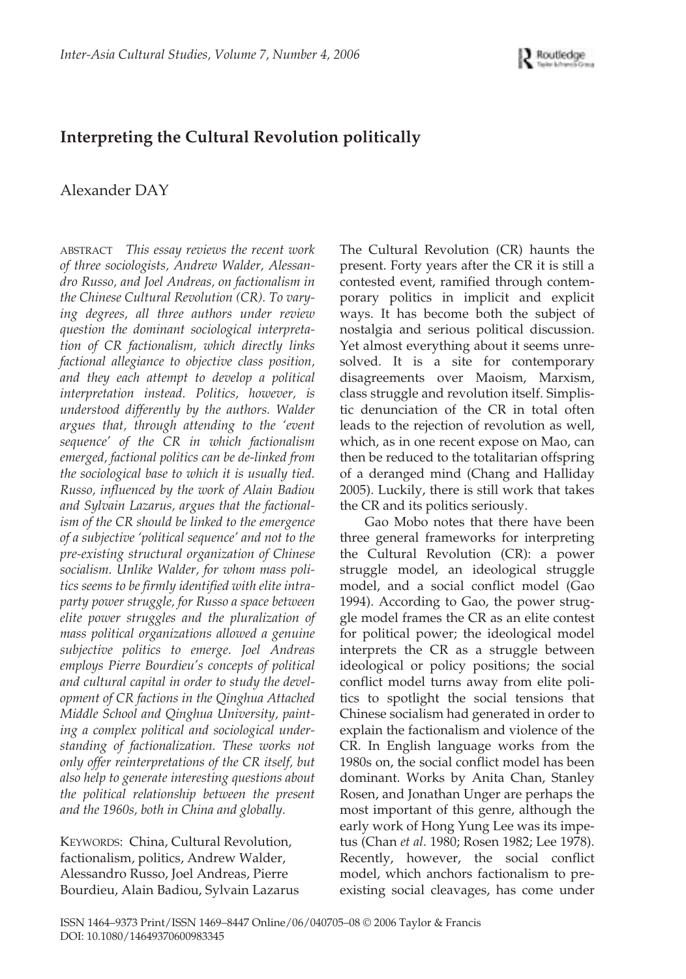

## **Interpreting the Cultural Revolution politically**

Alexander DAY

ABSTRACT This essay reviews the recent work *of three sociologists, Andrew Walder, Alessandro Russo, and Joel Andreas, on factionalism in the Chinese Cultural Revolution (CR). To varying degrees, all three authors under review question the dominant sociological interpretation of CR factionalism, which directly links factional allegiance to objective class position, and they each attempt to develop a political interpretation instead. Politics, however, is understood differently by the authors. Walder argues that, through attending to the 'event sequence' of the CR in which factionalism emerged, factional politics can be de-linked from the sociological base to which it is usually tied. Russo, influenced by the work of Alain Badiou and Sylvain Lazarus, argues that the factionalism of the CR should be linked to the emergence of a subjective 'political sequence' and not to the pre-existing structural organization of Chinese socialism. Unlike Walder, for whom mass politics seems to be firmly identified with elite intraparty power struggle, for Russo a space between elite power struggles and the pluralization of mass political organizations allowed a genuine subjective politics to emerge. Joel Andreas employs Pierre Bourdieu's concepts of political and cultural capital in order to study the development of CR factions in the Qinghua Attached Middle School and Qinghua University, painting a complex political and sociological understanding of factionalization. These works not only offer reinterpretations of the CR itself, but also help to generate interesting questions about the political relationship between the present and the 1960s, both in China and globally.*

KEYWORDS: China, Cultural Revolution, factionalism, politics, Andrew Walder, Alessandro Russo, Joel Andreas, Pierre Bourdieu, Alain Badiou, Sylvain Lazarus The Cultural Revolution (CR) haunts the present. Forty years after the CR it is still a contested event, ramified through contemporary politics in implicit and explicit ways. It has become both the subject of nostalgia and serious political discussion. Yet almost everything about it seems unresolved. It is a site for contemporary disagreements over Maoism, Marxism, class struggle and revolution itself. Simplistic denunciation of the CR in total often leads to the rejection of revolution as well, which, as in one recent expose on Mao, can then be reduced to the totalitarian offspring of a deranged mind (Chang and Halliday 2005). Luckily, there is still work that takes the CR and its politics seriously.

Gao Mobo notes that there have been three general frameworks for interpreting the Cultural Revolution (CR): a power struggle model, an ideological struggle model, and a social conflict model (Gao 1994). According to Gao, the power struggle model frames the CR as an elite contest for political power; the ideological model interprets the CR as a struggle between ideological or policy positions; the social conflict model turns away from elite politics to spotlight the social tensions that Chinese socialism had generated in order to explain the factionalism and violence of the CR. In English language works from the 1980s on, the social conflict model has been dominant. Works by Anita Chan, Stanley Rosen, and Jonathan Unger are perhaps the most important of this genre, although the early work of Hong Yung Lee was its impetus (Chan *et al*. 1980; Rosen 1982; Lee 1978). Recently, however, the social conflict model, which anchors factionalism to preexisting social cleavages, has come under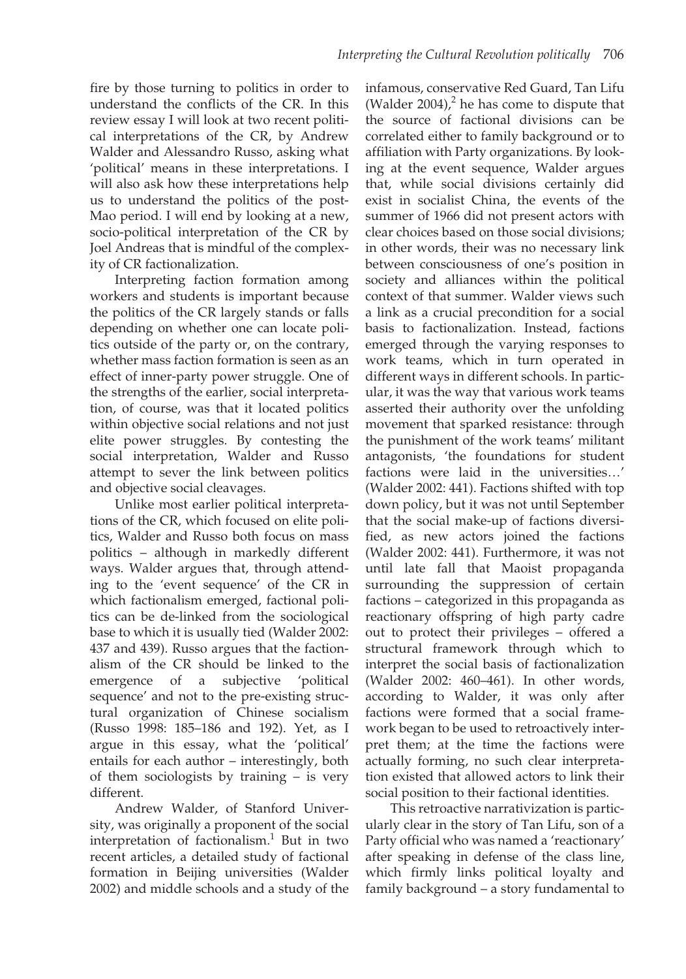fire by those turning to politics in order to understand the conflicts of the CR. In this review essay I will look at two recent political interpretations of the CR, by Andrew Walder and Alessandro Russo, asking what 'political' means in these interpretations. I will also ask how these interpretations help us to understand the politics of the post-Mao period. I will end by looking at a new, socio-political interpretation of the CR by Joel Andreas that is mindful of the complexity of CR factionalization.

Interpreting faction formation among workers and students is important because the politics of the CR largely stands or falls depending on whether one can locate politics outside of the party or, on the contrary, whether mass faction formation is seen as an effect of inner-party power struggle. One of the strengths of the earlier, social interpretation, of course, was that it located politics within objective social relations and not just elite power struggles. By contesting the social interpretation, Walder and Russo attempt to sever the link between politics and objective social cleavages.

Unlike most earlier political interpretations of the CR, which focused on elite politics, Walder and Russo both focus on mass politics – although in markedly different ways. Walder argues that, through attending to the 'event sequence' of the CR in which factionalism emerged, factional politics can be de-linked from the sociological base to which it is usually tied (Walder 2002: 437 and 439). Russo argues that the factionalism of the CR should be linked to the emergence of a subjective 'political sequence' and not to the pre-existing structural organization of Chinese socialism (Russo 1998: 185–186 and 192). Yet, as I argue in this essay, what the 'political' entails for each author – interestingly, both of them sociologists by training – is very different.

Andrew Walder, of Stanford University, was originally a proponent of the social interpretation of factionalism. $<sup>1</sup>$  But in two</sup> recent articles, a detailed study of factional formation in Beijing universities (Walder 2002) and middle schools and a study of the

infamous, conservative Red Guard, Tan Lifu (Walder 2004), $^2$  he has come to dispute that the source of factional divisions can be correlated either to family background or to affiliation with Party organizations. By looking at the event sequence, Walder argues that, while social divisions certainly did exist in socialist China, the events of the summer of 1966 did not present actors with clear choices based on those social divisions; in other words, their was no necessary link between consciousness of one's position in society and alliances within the political context of that summer. Walder views such a link as a crucial precondition for a social basis to factionalization. Instead, factions emerged through the varying responses to work teams, which in turn operated in different ways in different schools. In particular, it was the way that various work teams asserted their authority over the unfolding movement that sparked resistance: through the punishment of the work teams' militant antagonists, 'the foundations for student factions were laid in the universities…' (Walder 2002: 441). Factions shifted with top down policy, but it was not until September that the social make-up of factions diversified, as new actors joined the factions (Walder 2002: 441). Furthermore, it was not until late fall that Maoist propaganda surrounding the suppression of certain factions – categorized in this propaganda as reactionary offspring of high party cadre out to protect their privileges – offered a structural framework through which to interpret the social basis of factionalization (Walder 2002: 460–461). In other words, according to Walder, it was only after factions were formed that a social framework began to be used to retroactively interpret them; at the time the factions were actually forming, no such clear interpretation existed that allowed actors to link their social position to their factional identities.

This retroactive narrativization is particularly clear in the story of Tan Lifu, son of a Party official who was named a 'reactionary' after speaking in defense of the class line, which firmly links political loyalty and family background – a story fundamental to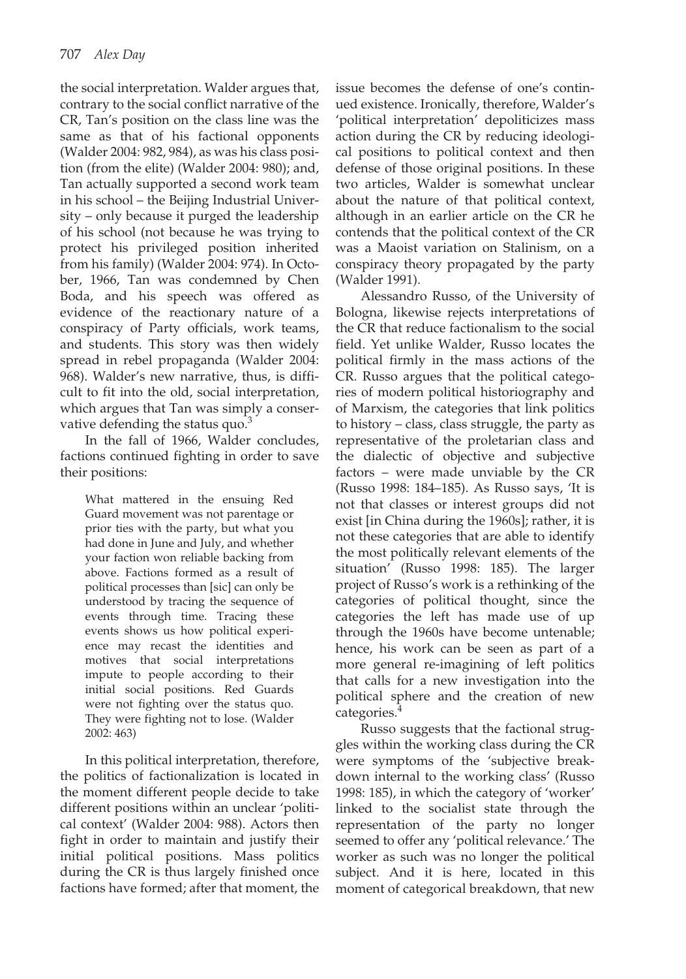the social interpretation. Walder argues that, contrary to the social conflict narrative of the CR, Tan's position on the class line was the same as that of his factional opponents (Walder 2004: 982, 984), as was his class position (from the elite) (Walder 2004: 980); and, Tan actually supported a second work team in his school – the Beijing Industrial University – only because it purged the leadership of his school (not because he was trying to protect his privileged position inherited from his family) (Walder 2004: 974). In October, 1966, Tan was condemned by Chen Boda, and his speech was offered as evidence of the reactionary nature of a conspiracy of Party officials, work teams, and students. This story was then widely spread in rebel propaganda (Walder 2004: 968). Walder's new narrative, thus, is difficult to fit into the old, social interpretation, which argues that Tan was simply a conservative defending the status quo.<sup>3</sup>

In the fall of 1966, Walder concludes, factions continued fighting in order to save their positions:

What mattered in the ensuing Red Guard movement was not parentage or prior ties with the party, but what you had done in June and July, and whether your faction won reliable backing from above. Factions formed as a result of political processes than [sic] can only be understood by tracing the sequence of events through time. Tracing these events shows us how political experience may recast the identities and motives that social interpretations impute to people according to their initial social positions. Red Guards were not fighting over the status quo. They were fighting not to lose. (Walder 2002: 463)

In this political interpretation, therefore, the politics of factionalization is located in the moment different people decide to take different positions within an unclear 'political context' (Walder 2004: 988). Actors then fight in order to maintain and justify their initial political positions. Mass politics during the CR is thus largely finished once factions have formed; after that moment, the issue becomes the defense of one's continued existence. Ironically, therefore, Walder's 'political interpretation' depoliticizes mass action during the CR by reducing ideological positions to political context and then defense of those original positions. In these two articles, Walder is somewhat unclear about the nature of that political context, although in an earlier article on the CR he contends that the political context of the CR was a Maoist variation on Stalinism, on a conspiracy theory propagated by the party (Walder 1991).

Alessandro Russo, of the University of Bologna, likewise rejects interpretations of the CR that reduce factionalism to the social field. Yet unlike Walder, Russo locates the political firmly in the mass actions of the CR. Russo argues that the political categories of modern political historiography and of Marxism, the categories that link politics to history – class, class struggle, the party as representative of the proletarian class and the dialectic of objective and subjective factors – were made unviable by the CR (Russo 1998: 184–185). As Russo says, 'It is not that classes or interest groups did not exist [in China during the 1960s]; rather, it is not these categories that are able to identify the most politically relevant elements of the situation' (Russo 1998: 185). The larger project of Russo's work is a rethinking of the categories of political thought, since the categories the left has made use of up through the 1960s have become untenable; hence, his work can be seen as part of a more general re-imagining of left politics that calls for a new investigation into the political sphere and the creation of new categories.<sup>4</sup>

Russo suggests that the factional struggles within the working class during the CR were symptoms of the 'subjective breakdown internal to the working class' (Russo 1998: 185), in which the category of 'worker' linked to the socialist state through the representation of the party no longer seemed to offer any 'political relevance.' The worker as such was no longer the political subject. And it is here, located in this moment of categorical breakdown, that new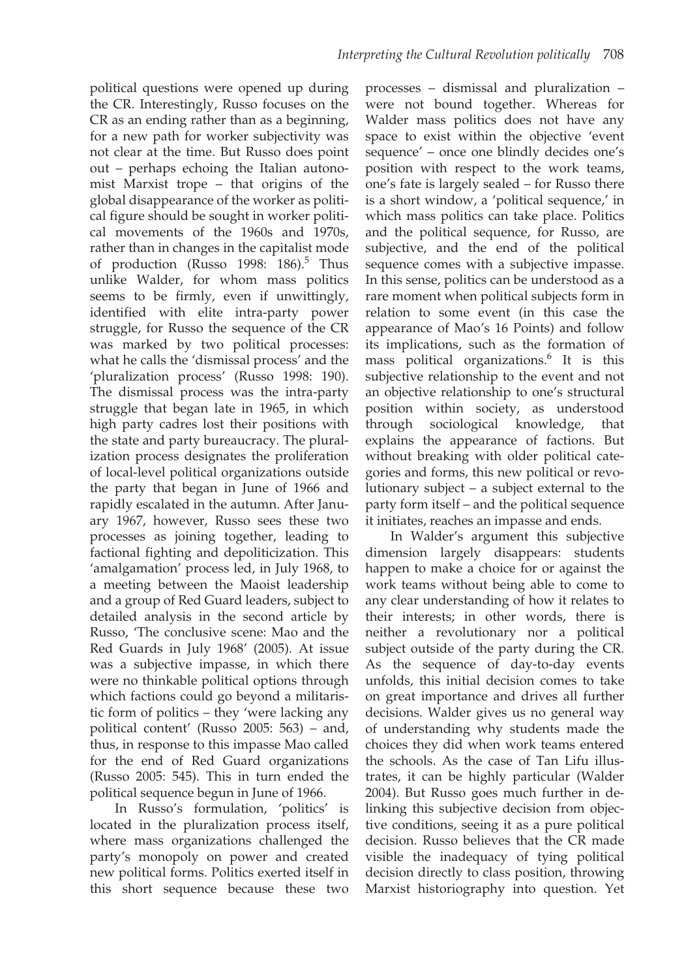political questions were opened up during the CR. Interestingly, Russo focuses on the CR as an ending rather than as a beginning, for a new path for worker subjectivity was not clear at the time. But Russo does point out – perhaps echoing the Italian autonomist Marxist trope – that origins of the global disappearance of the worker as political figure should be sought in worker political movements of the 1960s and 1970s, rather than in changes in the capitalist mode of production (Russo 1998:  $186$ ).<sup>5</sup> Thus unlike Walder, for whom mass politics seems to be firmly, even if unwittingly, identified with elite intra-party power struggle, for Russo the sequence of the CR was marked by two political processes: what he calls the 'dismissal process' and the 'pluralization process' (Russo 1998: 190). The dismissal process was the intra-party struggle that began late in 1965, in which high party cadres lost their positions with the state and party bureaucracy. The pluralization process designates the proliferation of local-level political organizations outside the party that began in June of 1966 and rapidly escalated in the autumn. After January 1967, however, Russo sees these two processes as joining together, leading to factional fighting and depoliticization. This 'amalgamation' process led, in July 1968, to a meeting between the Maoist leadership and a group of Red Guard leaders, subject to detailed analysis in the second article by Russo, 'The conclusive scene: Mao and the Red Guards in July 1968' (2005). At issue was a subjective impasse, in which there were no thinkable political options through which factions could go beyond a militaristic form of politics – they 'were lacking any political content' (Russo 2005: 563) – and, thus, in response to this impasse Mao called for the end of Red Guard organizations (Russo 2005: 545). This in turn ended the political sequence begun in June of 1966.

In Russo's formulation, 'politics' is located in the pluralization process itself, where mass organizations challenged the party's monopoly on power and created new political forms. Politics exerted itself in this short sequence because these two

processes – dismissal and pluralization – were not bound together. Whereas for Walder mass politics does not have any space to exist within the objective 'event sequence' – once one blindly decides one's position with respect to the work teams, one's fate is largely sealed – for Russo there is a short window, a 'political sequence,' in which mass politics can take place. Politics and the political sequence, for Russo, are subjective, and the end of the political sequence comes with a subjective impasse. In this sense, politics can be understood as a rare moment when political subjects form in relation to some event (in this case the appearance of Mao's 16 Points) and follow its implications, such as the formation of mass political organizations.6 It is this subjective relationship to the event and not an objective relationship to one's structural position within society, as understood through sociological knowledge, that explains the appearance of factions. But without breaking with older political categories and forms, this new political or revolutionary subject – a subject external to the party form itself – and the political sequence it initiates, reaches an impasse and ends.

In Walder's argument this subjective dimension largely disappears: students happen to make a choice for or against the work teams without being able to come to any clear understanding of how it relates to their interests; in other words, there is neither a revolutionary nor a political subject outside of the party during the CR. As the sequence of day-to-day events unfolds, this initial decision comes to take on great importance and drives all further decisions. Walder gives us no general way of understanding why students made the choices they did when work teams entered the schools. As the case of Tan Lifu illustrates, it can be highly particular (Walder 2004). But Russo goes much further in delinking this subjective decision from objective conditions, seeing it as a pure political decision. Russo believes that the CR made visible the inadequacy of tying political decision directly to class position, throwing Marxist historiography into question. Yet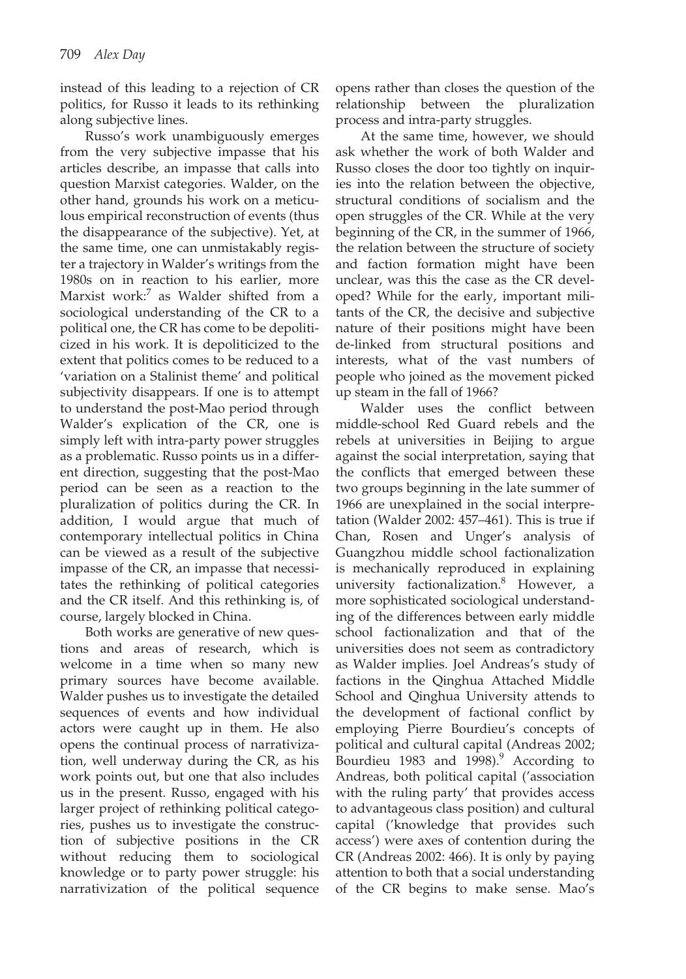instead of this leading to a rejection of CR politics, for Russo it leads to its rethinking along subjective lines.

Russo's work unambiguously emerges from the very subjective impasse that his articles describe, an impasse that calls into question Marxist categories. Walder, on the other hand, grounds his work on a meticulous empirical reconstruction of events (thus the disappearance of the subjective). Yet, at the same time, one can unmistakably register a trajectory in Walder's writings from the 1980s on in reaction to his earlier, more Marxist work: $<sup>7</sup>$  as Walder shifted from a</sup> sociological understanding of the CR to a political one, the CR has come to be depoliticized in his work. It is depoliticized to the extent that politics comes to be reduced to a 'variation on a Stalinist theme' and political subjectivity disappears. If one is to attempt to understand the post-Mao period through Walder's explication of the CR, one is simply left with intra-party power struggles as a problematic. Russo points us in a different direction, suggesting that the post-Mao period can be seen as a reaction to the pluralization of politics during the CR. In addition, I would argue that much of contemporary intellectual politics in China can be viewed as a result of the subjective impasse of the CR, an impasse that necessitates the rethinking of political categories and the CR itself. And this rethinking is, of course, largely blocked in China.

Both works are generative of new questions and areas of research, which is welcome in a time when so many new primary sources have become available. Walder pushes us to investigate the detailed sequences of events and how individual actors were caught up in them. He also opens the continual process of narrativization, well underway during the CR, as his work points out, but one that also includes us in the present. Russo, engaged with his larger project of rethinking political categories, pushes us to investigate the construction of subjective positions in the CR without reducing them to sociological knowledge or to party power struggle: his narrativization of the political sequence

opens rather than closes the question of the relationship between the pluralization process and intra-party struggles.

At the same time, however, we should ask whether the work of both Walder and Russo closes the door too tightly on inquiries into the relation between the objective, structural conditions of socialism and the open struggles of the CR. While at the very beginning of the CR, in the summer of 1966, the relation between the structure of society and faction formation might have been unclear, was this the case as the CR developed? While for the early, important militants of the CR, the decisive and subjective nature of their positions might have been de-linked from structural positions and interests, what of the vast numbers of people who joined as the movement picked up steam in the fall of 1966?

Walder uses the conflict between middle-school Red Guard rebels and the rebels at universities in Beijing to argue against the social interpretation, saying that the conflicts that emerged between these two groups beginning in the late summer of 1966 are unexplained in the social interpretation (Walder 2002: 457–461). This is true if Chan, Rosen and Unger's analysis of Guangzhou middle school factionalization is mechanically reproduced in explaining university factionalization.8 However, a more sophisticated sociological understanding of the differences between early middle school factionalization and that of the universities does not seem as contradictory as Walder implies. Joel Andreas's study of factions in the Qinghua Attached Middle School and Qinghua University attends to the development of factional conflict by employing Pierre Bourdieu's concepts of political and cultural capital (Andreas 2002; Bourdieu 1983 and 1998). $9$  According to Andreas, both political capital ('association with the ruling party' that provides access to advantageous class position) and cultural capital ('knowledge that provides such access') were axes of contention during the CR (Andreas 2002: 466). It is only by paying attention to both that a social understanding of the CR begins to make sense. Mao's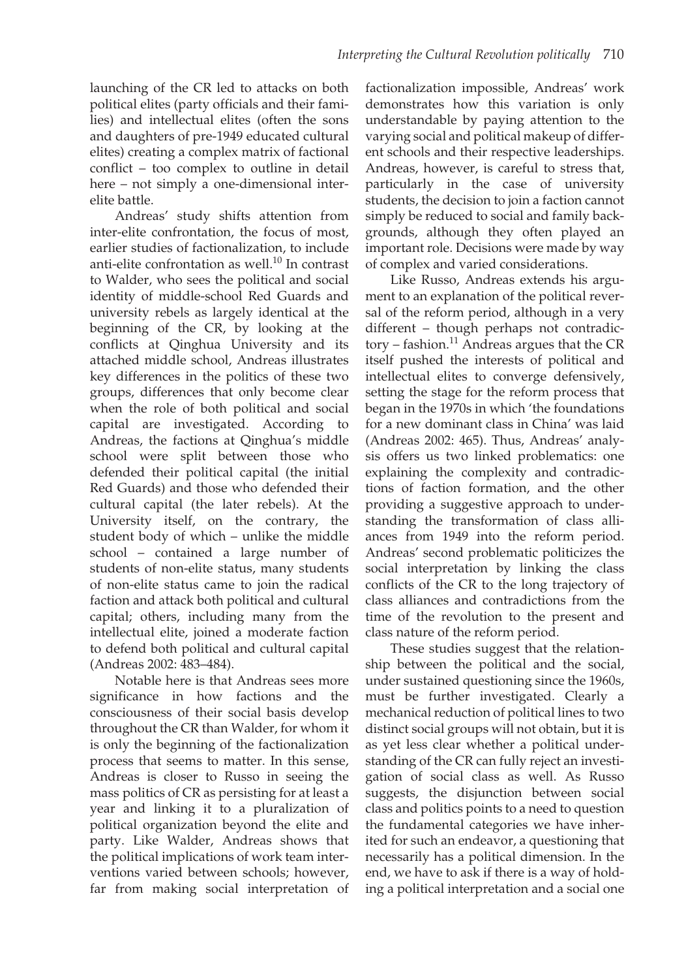launching of the CR led to attacks on both political elites (party officials and their families) and intellectual elites (often the sons and daughters of pre-1949 educated cultural elites) creating a complex matrix of factional conflict – too complex to outline in detail here – not simply a one-dimensional interelite battle.

Andreas' study shifts attention from inter-elite confrontation, the focus of most, earlier studies of factionalization, to include anti-elite confrontation as well. $^{10}$  In contrast to Walder, who sees the political and social identity of middle-school Red Guards and university rebels as largely identical at the beginning of the CR, by looking at the conflicts at Qinghua University and its attached middle school, Andreas illustrates key differences in the politics of these two groups, differences that only become clear when the role of both political and social capital are investigated. According to Andreas, the factions at Qinghua's middle school were split between those who defended their political capital (the initial Red Guards) and those who defended their cultural capital (the later rebels). At the University itself, on the contrary, the student body of which – unlike the middle school – contained a large number of students of non-elite status, many students of non-elite status came to join the radical faction and attack both political and cultural capital; others, including many from the intellectual elite, joined a moderate faction to defend both political and cultural capital (Andreas 2002: 483–484).

Notable here is that Andreas sees more significance in how factions and the consciousness of their social basis develop throughout the CR than Walder, for whom it is only the beginning of the factionalization process that seems to matter. In this sense, Andreas is closer to Russo in seeing the mass politics of CR as persisting for at least a year and linking it to a pluralization of political organization beyond the elite and party. Like Walder, Andreas shows that the political implications of work team interventions varied between schools; however, far from making social interpretation of

factionalization impossible, Andreas' work demonstrates how this variation is only understandable by paying attention to the varying social and political makeup of different schools and their respective leaderships. Andreas, however, is careful to stress that, particularly in the case of university students, the decision to join a faction cannot simply be reduced to social and family backgrounds, although they often played an important role. Decisions were made by way of complex and varied considerations.

Like Russo, Andreas extends his argument to an explanation of the political reversal of the reform period, although in a very different – though perhaps not contradic $tory - fashion.<sup>11</sup>$  Andreas argues that the CR itself pushed the interests of political and intellectual elites to converge defensively, setting the stage for the reform process that began in the 1970s in which 'the foundations for a new dominant class in China' was laid (Andreas 2002: 465). Thus, Andreas' analysis offers us two linked problematics: one explaining the complexity and contradictions of faction formation, and the other providing a suggestive approach to understanding the transformation of class alliances from 1949 into the reform period. Andreas' second problematic politicizes the social interpretation by linking the class conflicts of the CR to the long trajectory of class alliances and contradictions from the time of the revolution to the present and class nature of the reform period.

These studies suggest that the relationship between the political and the social, under sustained questioning since the 1960s, must be further investigated. Clearly a mechanical reduction of political lines to two distinct social groups will not obtain, but it is as yet less clear whether a political understanding of the CR can fully reject an investigation of social class as well. As Russo suggests, the disjunction between social class and politics points to a need to question the fundamental categories we have inherited for such an endeavor, a questioning that necessarily has a political dimension. In the end, we have to ask if there is a way of holding a political interpretation and a social one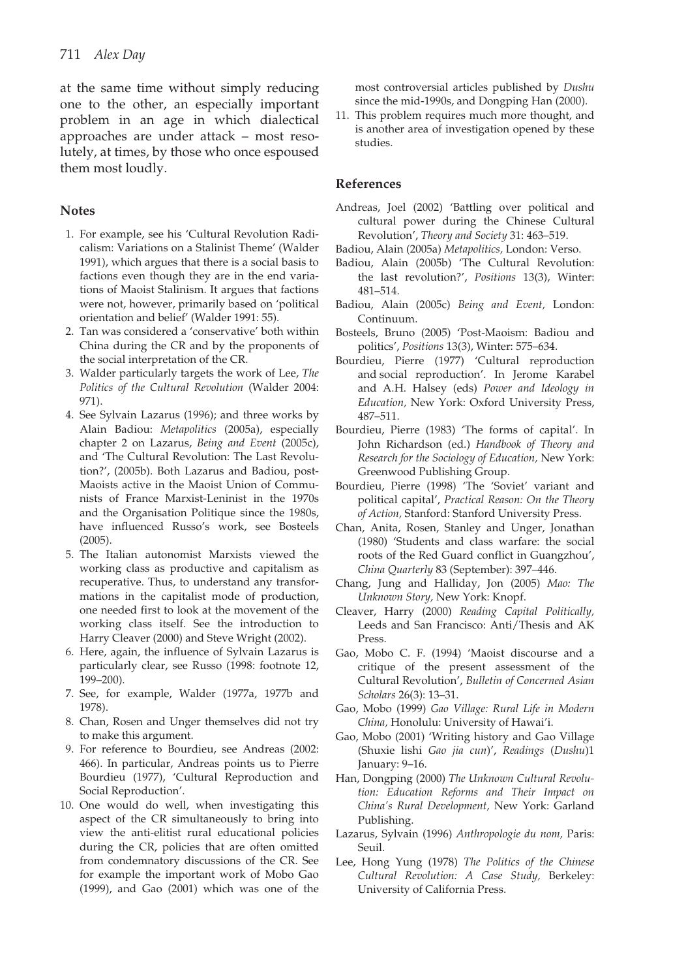at the same time without simply reducing one to the other, an especially important problem in an age in which dialectical approaches are under attack – most resolutely, at times, by those who once espoused them most loudly.

## **Notes**

- 1. For example, see his 'Cultural Revolution Radicalism: Variations on a Stalinist Theme' (Walder 1991), which argues that there is a social basis to factions even though they are in the end variations of Maoist Stalinism. It argues that factions were not, however, primarily based on 'political orientation and belief' (Walder 1991: 55).
- 2. Tan was considered a 'conservative' both within China during the CR and by the proponents of the social interpretation of the CR.
- 3. Walder particularly targets the work of Lee, *The Politics of the Cultural Revolution* (Walder 2004: 971).
- 4. See Sylvain Lazarus (1996); and three works by Alain Badiou: *Metapolitics* (2005a), especially chapter 2 on Lazarus, *Being and Event* (2005c), and 'The Cultural Revolution: The Last Revolution?', (2005b). Both Lazarus and Badiou, post-Maoists active in the Maoist Union of Communists of France Marxist-Leninist in the 1970s and the Organisation Politique since the 1980s, have influenced Russo's work, see Bosteels (2005).
- 5. The Italian autonomist Marxists viewed the working class as productive and capitalism as recuperative. Thus, to understand any transformations in the capitalist mode of production, one needed first to look at the movement of the working class itself. See the introduction to Harry Cleaver (2000) and Steve Wright (2002).
- 6. Here, again, the influence of Sylvain Lazarus is particularly clear, see Russo (1998: footnote 12, 199–200).
- 7. See, for example, Walder (1977a, 1977b and 1978).
- 8. Chan, Rosen and Unger themselves did not try to make this argument.
- 9. For reference to Bourdieu, see Andreas (2002: 466). In particular, Andreas points us to Pierre Bourdieu (1977), 'Cultural Reproduction and Social Reproduction'.
- 10. One would do well, when investigating this aspect of the CR simultaneously to bring into view the anti-elitist rural educational policies during the CR, policies that are often omitted from condemnatory discussions of the CR. See for example the important work of Mobo Gao (1999), and Gao (2001) which was one of the

most controversial articles published by *Dushu* since the mid-1990s, and Dongping Han (2000).

11. This problem requires much more thought, and is another area of investigation opened by these studies.

## **References**

- Andreas, Joel (2002) 'Battling over political and cultural power during the Chinese Cultural Revolution', *Theory and Society* 31: 463–519.
- Badiou, Alain (2005a) *Metapolitics,* London: Verso.
- Badiou, Alain (2005b) 'The Cultural Revolution: the last revolution?', *Positions* 13(3), Winter: 481–514.
- Badiou, Alain (2005c) *Being and Event,* London: Continuum.
- Bosteels, Bruno (2005) 'Post-Maoism: Badiou and politics', *Positions* 13(3), Winter: 575–634.
- Bourdieu, Pierre (1977) 'Cultural reproduction and social reproduction'. In Jerome Karabel and A.H. Halsey (eds) *Power and Ideology in Education,* New York: Oxford University Press, 487–511.
- Bourdieu, Pierre (1983) 'The forms of capital'. In John Richardson (ed.) *Handbook of Theory and Research for the Sociology of Education,* New York: Greenwood Publishing Group.
- Bourdieu, Pierre (1998) 'The 'Soviet' variant and political capital', *Practical Reason: On the Theory of Action,* Stanford: Stanford University Press.
- Chan, Anita, Rosen, Stanley and Unger, Jonathan (1980) 'Students and class warfare: the social roots of the Red Guard conflict in Guangzhou', *China Quarterly* 83 (September): 397–446.
- Chang, Jung and Halliday, Jon (2005) *Mao: The Unknown Story,* New York: Knopf.
- Cleaver, Harry (2000) *Reading Capital Politically,* Leeds and San Francisco: Anti/Thesis and AK Press.
- Gao, Mobo C. F. (1994) 'Maoist discourse and a critique of the present assessment of the Cultural Revolution', *Bulletin of Concerned Asian Scholars* 26(3): 13–31.
- Gao, Mobo (1999) *Gao Village: Rural Life in Modern China,* Honolulu: University of Hawai'i.
- Gao, Mobo (2001) 'Writing history and Gao Village (Shuxie lishi *Gao jia cun*)', *Readings* (*Dushu*)1 January: 9–16.
- Han, Dongping (2000) *The Unknown Cultural Revolution: Education Reforms and Their Impact on China's Rural Development,* New York: Garland Publishing.
- Lazarus, Sylvain (1996) *Anthropologie du nom,* Paris: Seuil.
- Lee, Hong Yung (1978) *The Politics of the Chinese Cultural Revolution: A Case Study,* Berkeley: University of California Press.